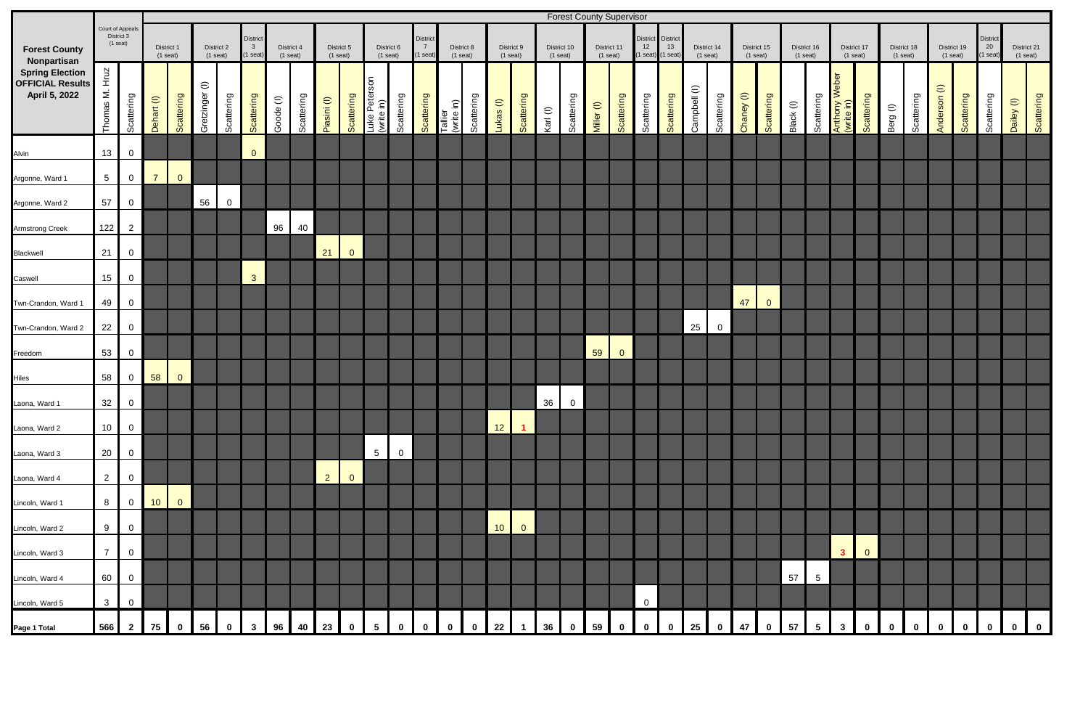|                                                                                                           |                                             |                |                 |                                                      |                |                                                   |                          |           |                          |                |                          |                             |                               |                          |                       |            |                          |                      |                           |                | <b>Forest County Supervisor</b> |                                       |                              |                           |              |                           |            |                           |           |                           |                                 |                           |          |                           |                       |                              |                           |            |            |
|-----------------------------------------------------------------------------------------------------------|---------------------------------------------|----------------|-----------------|------------------------------------------------------|----------------|---------------------------------------------------|--------------------------|-----------|--------------------------|----------------|--------------------------|-----------------------------|-------------------------------|--------------------------|-----------------------|------------|--------------------------|----------------------|---------------------------|----------------|---------------------------------|---------------------------------------|------------------------------|---------------------------|--------------|---------------------------|------------|---------------------------|-----------|---------------------------|---------------------------------|---------------------------|----------|---------------------------|-----------------------|------------------------------|---------------------------|------------|------------|
| <b>Forest County</b><br>Nonpartisan<br><b>Spring Election</b><br><b>OFFICIAL Results</b><br>April 5, 2022 | Court of Appeal<br>District 3<br>$(1$ seat) |                |                 | District 1<br>District 2<br>$(1$ seat)<br>$(1$ seat) |                | District<br>$\overline{\mathbf{3}}$<br>$(1$ seat) | District 4<br>$(1$ seat) |           | District 5<br>$(1$ seat) |                | District 6<br>$(1$ seat) |                             | <b>District</b><br>$(1$ seat) | District 8<br>$(1$ seat) |                       |            | District 9<br>$(1$ seat) |                      | District 10<br>$(1$ seat) |                | District 11<br>$(1$ seat)       | <b>District</b><br>$12$<br>$(1$ seat) | District<br>13<br>$(1$ seat) | District 14<br>$(1$ seat) |              | District 15<br>$(1$ seat) |            | District 16<br>$(1$ seat) |           | District 17<br>$(1$ seat) |                                 | District 18<br>$(1$ seat) |          | District 19<br>$(1$ seat) |                       | District<br>20<br>$(1$ seat) | District 21<br>$(1$ seat) |            |            |
|                                                                                                           | Hruz<br>$\leq$<br>Thomas                    | Scattering     | Dehart (I)      | Scattering                                           | Gretzinger (I) | Scattering                                        | Scattering               | Goode (I) | Scattering               | Piasini (I)    | Scattering               | Luke Peterson<br>(write in) | Scattering                    | Scattering               | Tallier<br>(write in) | Scattering | $u$ kas $(1)$            | Scattering           | Karl (I)                  | Scattering     | Miller (I)                      | Scattering                            | Scattering                   | Scattering                | Campbell (I) | Scattering                | Chaney (I) | Scattering                | Black (I) | Scattering                | eber<br>Anthony W<br>(write in) | Scattering                | Berg (I) | Scattering                | $\ominus$<br>Anderson | Scattering                   | Scattering                | Dailey (I) | Scattering |
| Alvin                                                                                                     | 13                                          | $\mathbf 0$    |                 |                                                      |                |                                                   | $\overline{0}$           |           |                          |                |                          |                             |                               |                          |                       |            |                          |                      |                           |                |                                 |                                       |                              |                           |              |                           |            |                           |           |                           |                                 |                           |          |                           |                       |                              |                           |            |            |
| Argonne, Ward 1                                                                                           | $5\overline{)}$                             | $\mathbf 0$    | $\overline{7}$  | $\overline{0}$                                       |                |                                                   |                          |           |                          |                |                          |                             |                               |                          |                       |            |                          |                      |                           |                |                                 |                                       |                              |                           |              |                           |            |                           |           |                           |                                 |                           |          |                           |                       |                              |                           |            |            |
| Argonne, Ward 2                                                                                           | 57                                          | $\mathbf 0$    |                 |                                                      | 56             | 0                                                 |                          |           |                          |                |                          |                             |                               |                          |                       |            |                          |                      |                           |                |                                 |                                       |                              |                           |              |                           |            |                           |           |                           |                                 |                           |          |                           |                       |                              |                           |            |            |
| Armstrong Creek                                                                                           | 122                                         | $\overline{2}$ |                 |                                                      |                |                                                   |                          | 96        | 40                       |                |                          |                             |                               |                          |                       |            |                          |                      |                           |                |                                 |                                       |                              |                           |              |                           |            |                           |           |                           |                                 |                           |          |                           |                       |                              |                           |            |            |
| Blackwell                                                                                                 | 21                                          | $\mathbf 0$    |                 |                                                      |                |                                                   |                          |           |                          | 21             | $\overline{0}$           |                             |                               |                          |                       |            |                          |                      |                           |                |                                 |                                       |                              |                           |              |                           |            |                           |           |                           |                                 |                           |          |                           |                       |                              |                           |            |            |
| Caswell                                                                                                   | 15                                          | $\mathbf 0$    |                 |                                                      |                |                                                   | $\mathbf{3}$             |           |                          |                |                          |                             |                               |                          |                       |            |                          |                      |                           |                |                                 |                                       |                              |                           |              |                           |            |                           |           |                           |                                 |                           |          |                           |                       |                              |                           |            |            |
| Twn-Crandon, Ward 1                                                                                       | 49                                          | $\overline{0}$ |                 |                                                      |                |                                                   |                          |           |                          |                |                          |                             |                               |                          |                       |            |                          |                      |                           |                |                                 |                                       |                              |                           |              |                           | 47         | $\overline{0}$            |           |                           |                                 |                           |          |                           |                       |                              |                           |            |            |
| Twn-Crandon, Ward 2                                                                                       | 22                                          | $\overline{0}$ |                 |                                                      |                |                                                   |                          |           |                          |                |                          |                             |                               |                          |                       |            |                          |                      |                           |                |                                 |                                       |                              |                           | 25           | $\overline{0}$            |            |                           |           |                           |                                 |                           |          |                           |                       |                              |                           |            |            |
| Freedom                                                                                                   | 53                                          | $\mathbf 0$    |                 |                                                      |                |                                                   |                          |           |                          |                |                          |                             |                               |                          |                       |            |                          |                      |                           |                | 59                              | $\overline{0}$                        |                              |                           |              |                           |            |                           |           |                           |                                 |                           |          |                           |                       |                              |                           |            |            |
| <b>Hiles</b>                                                                                              | 58                                          | 0              | 58              | $\overline{0}$                                       |                |                                                   |                          |           |                          |                |                          |                             |                               |                          |                       |            |                          |                      |                           |                |                                 |                                       |                              |                           |              |                           |            |                           |           |                           |                                 |                           |          |                           |                       |                              |                           |            |            |
| Laona, Ward 1                                                                                             | 32                                          | $\overline{0}$ |                 |                                                      |                |                                                   |                          |           |                          |                |                          |                             |                               |                          |                       |            |                          |                      | 36                        | $\overline{0}$ |                                 |                                       |                              |                           |              |                           |            |                           |           |                           |                                 |                           |          |                           |                       |                              |                           |            |            |
| Laona, Ward 2                                                                                             | 10                                          | $\overline{0}$ |                 |                                                      |                |                                                   |                          |           |                          |                |                          |                             |                               |                          |                       |            | 12                       | $\blacktriangleleft$ |                           |                |                                 |                                       |                              |                           |              |                           |            |                           |           |                           |                                 |                           |          |                           |                       |                              |                           |            |            |
| Laona, Ward 3                                                                                             | 20                                          | $\mathbf 0$    |                 |                                                      |                |                                                   |                          |           |                          |                |                          | $5\overline{5}$             | $\overline{0}$                |                          |                       |            |                          |                      |                           |                |                                 |                                       |                              |                           |              |                           |            |                           |           |                           |                                 |                           |          |                           |                       |                              |                           |            |            |
| Laona, Ward 4                                                                                             | $\overline{2}$                              | $\mathbf 0$    |                 |                                                      |                |                                                   |                          |           |                          | $\overline{2}$ | $\overline{0}$           |                             |                               |                          |                       |            |                          |                      |                           |                |                                 |                                       |                              |                           |              |                           |            |                           |           |                           |                                 |                           |          |                           |                       |                              |                           |            |            |
| Lincoln, Ward 1                                                                                           | 8                                           | $\overline{0}$ | 10 <sup>°</sup> | $\overline{0}$                                       |                |                                                   |                          |           |                          |                |                          |                             |                               |                          |                       |            |                          |                      |                           |                |                                 |                                       |                              |                           |              |                           |            |                           |           |                           |                                 |                           |          |                           |                       |                              |                           |            |            |
| Lincoln, Ward 2                                                                                           | 9                                           | $\mathbf 0$    |                 |                                                      |                |                                                   |                          |           |                          |                |                          |                             |                               |                          |                       |            | 10                       | $\overline{0}$       |                           |                |                                 |                                       |                              |                           |              |                           |            |                           |           |                           |                                 |                           |          |                           |                       |                              |                           |            |            |
| Lincoln, Ward 3                                                                                           | $\overline{7}$                              | 0              |                 |                                                      |                |                                                   |                          |           |                          |                |                          |                             |                               |                          |                       |            |                          |                      |                           |                |                                 |                                       |                              |                           |              |                           |            |                           |           |                           | $\overline{\mathbf{3}}$         | $\mathbf{0}$              |          |                           |                       |                              |                           |            |            |
| Lincoln, Ward 4                                                                                           | 60                                          | $\mathbf 0$    |                 |                                                      |                |                                                   |                          |           |                          |                |                          |                             |                               |                          |                       |            |                          |                      |                           |                |                                 |                                       |                              |                           |              |                           |            |                           | 57        | 5                         |                                 |                           |          |                           |                       |                              |                           |            |            |
| Lincoln, Ward 5                                                                                           | $\mathbf{3}$                                | 0              |                 |                                                      |                |                                                   |                          |           |                          |                |                          |                             |                               |                          |                       |            |                          |                      |                           |                |                                 |                                       | $\overline{0}$               |                           |              |                           |            |                           |           |                           |                                 |                           |          |                           |                       |                              |                           |            |            |
| Page 1 Total                                                                                              | 566                                         | $\mathbf{2}$   | 75              | $\mathbf 0$                                          | 56             |                                                   |                          | 96        | 40                       | 23             |                          | $5\overline{)}$             |                               | $\mathbf 0$              |                       |            | 22                       |                      | 36                        |                | 59                              |                                       |                              |                           | 25           |                           | 47         |                           | 57        | $5\overline{)}$           | $\mathbf{3}$                    |                           |          |                           |                       |                              |                           | $0$ 0      |            |